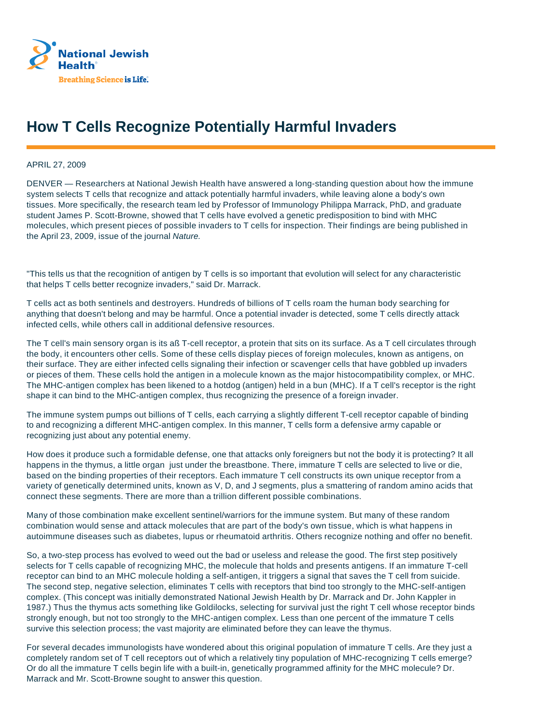

## **How T Cells Recognize Potentially Harmful Invaders**

APRIL 27, 2009

DENVER — Researchers at National Jewish Health have answered a long-standing question about how the immune system selects T cells that recognize and attack potentially harmful invaders, while leaving alone a body's own tissues. More specifically, the research team led by Professor of Immunology Philippa Marrack, PhD, and graduate student James P. Scott-Browne, showed that T cells have evolved a genetic predisposition to bind with MHC molecules, which present pieces of possible invaders to T cells for inspection. Their findings are being published in the April 23, 2009, issue of the journal Nature.

"This tells us that the recognition of antigen by T cells is so important that evolution will select for any characteristic that helps T cells better recognize invaders," said Dr. Marrack.

T cells act as both sentinels and destroyers. Hundreds of billions of T cells roam the human body searching for anything that doesn't belong and may be harmful. Once a potential invader is detected, some T cells directly attack infected cells, while others call in additional defensive resources.

The T cell's main sensory organ is its aß T-cell receptor, a protein that sits on its surface. As a T cell circulates through the body, it encounters other cells. Some of these cells display pieces of foreign molecules, known as antigens, on their surface. They are either infected cells signaling their infection or scavenger cells that have gobbled up invaders or pieces of them. These cells hold the antigen in a molecule known as the major histocompatibility complex, or MHC. The MHC-antigen complex has been likened to a hotdog (antigen) held in a bun (MHC). If a T cell's receptor is the right shape it can bind to the MHC-antigen complex, thus recognizing the presence of a foreign invader.

The immune system pumps out billions of T cells, each carrying a slightly different T-cell receptor capable of binding to and recognizing a different MHC-antigen complex. In this manner, T cells form a defensive army capable or recognizing just about any potential enemy.

How does it produce such a formidable defense, one that attacks only foreigners but not the body it is protecting? It all happens in the thymus, a little organ just under the breastbone. There, immature T cells are selected to live or die, based on the binding properties of their receptors. Each immature T cell constructs its own unique receptor from a variety of genetically determined units, known as V, D, and J segments, plus a smattering of random amino acids that connect these segments. There are more than a trillion different possible combinations.

Many of those combination make excellent sentinel/warriors for the immune system. But many of these random combination would sense and attack molecules that are part of the body's own tissue, which is what happens in autoimmune diseases such as diabetes, lupus or rheumatoid arthritis. Others recognize nothing and offer no benefit.

So, a two-step process has evolved to weed out the bad or useless and release the good. The first step positively selects for T cells capable of recognizing MHC, the molecule that holds and presents antigens. If an immature T-cell receptor can bind to an MHC molecule holding a self-antigen, it triggers a signal that saves the T cell from suicide. The second step, negative selection, eliminates T cells with receptors that bind too strongly to the MHC-self-antigen complex. (This concept was initially demonstrated National Jewish Health by Dr. Marrack and Dr. John Kappler in 1987.) Thus the thymus acts something like Goldilocks, selecting for survival just the right T cell whose receptor binds strongly enough, but not too strongly to the MHC-antigen complex. Less than one percent of the immature T cells survive this selection process; the vast majority are eliminated before they can leave the thymus.

For several decades immunologists have wondered about this original population of immature T cells. Are they just a completely random set of T cell receptors out of which a relatively tiny population of MHC-recognizing T cells emerge? Or do all the immature T cells begin life with a built-in, genetically programmed affinity for the MHC molecule? Dr. Marrack and Mr. Scott-Browne sought to answer this question.